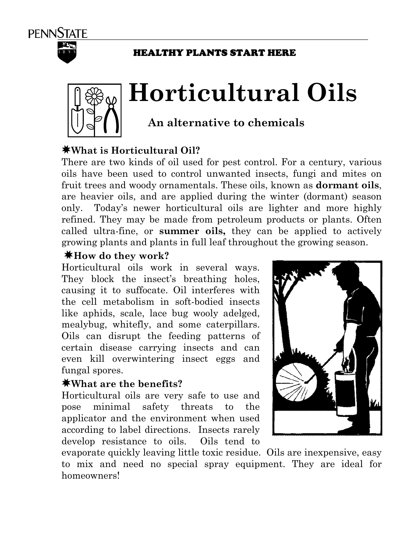

#### HEALTHY PLANTS START HERE



# **Horticultural Oils**

# **An alternative to chemicals**

## ;**What is Horticultural Oil?**

There are two kinds of oil used for pest control. For a century, various oils have been used to control unwanted insects, fungi and mites on fruit trees and woody ornamentals. These oils, known as **dormant oils**, are heavier oils, and are applied during the winter (dormant) season only. Today's newer horticultural oils are lighter and more highly refined. They may be made from petroleum products or plants. Often called ultra-fine, or **summer oils,** they can be applied to actively growing plants and plants in full leaf throughout the growing season.

#### ;**How do they work?**

Horticultural oils work in several ways. They block the insect's breathing holes, causing it to suffocate. Oil interferes with the cell metabolism in soft-bodied insects like aphids, scale, lace bug wooly adelged, mealybug, whitefly, and some caterpillars. Oils can disrupt the feeding patterns of certain disease carrying insects and can even kill overwintering insect eggs and fungal spores.

#### ;**What are the benefits?**

Horticultural oils are very safe to use and pose minimal safety threats to the applicator and the environment when used according to label directions. Insects rarely develop resistance to oils. Oils tend to



evaporate quickly leaving little toxic residue. Oils are inexpensive, easy to mix and need no special spray equipment. They are ideal for homeowners!